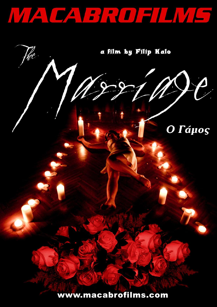



www.macabrofilms.com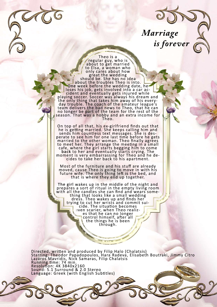*Marriage is forever*

regular guy, who is about to get married to Elsa, a woman who only cares about how<br>great the wedding should be. She has no idea about the troubles Theo is into. One week before the wedding date, he loses his job, gets involved into a car accident and eventually gets injured while<br>playing soccer. Soccer was always his dream and the only thing that takes him away of his everyday trouble. The coach of the amateur league's team delivers the bad news to Theo, that he can no longer be part of the team for the rest of the season. That was a hobby and an extra income for  $\setminus$ 

Theo is a

On top of all that, his ex-girlfriend finds out that he is getting married. She keeps calling him and sends him countless text messages. She is desperate to see him for one last time before he gets married to the other woman. Theo finally agrees to meet her. They arrange the meeting in a small cafe, where the girl starts begging him to come back to her and eventually starts crying. The moment is very embarrassing for Theo and he de- cides to take her back to his apartment.

Most of the furniture and his stuff are already moved, cause Theo is going to move in with his future wife. The only thing left is the bed, and<br>that is where they end up together.

The girl wakes up in the middle of the night and prepares a sort of ritual in the empty living room with all the candles she can find and wears something that looks like a small wedding<br>dress. Theo wakes up and finds her trying to cut her wrists and commit sui-<br>cide. The situation becomes even scarier, when Theo realizes that he can no longer control himself, after all **r** the things he is been  $t$ hrough.

Directed, written and produced by Filip Halo (Chalatsis) Starring: Theodor Papadopoulos, Hara Radeva, Elisabeth Boutraki, Jimmy Citro Lazaros Mavridis, Nick Samaras, Filip Chalatsis Running time: 74 min. ResoluƟon: 4K 3840x2160 Sound: 5.1 Surround & 2.0 Stereo Language: Greek (with English Subtitles)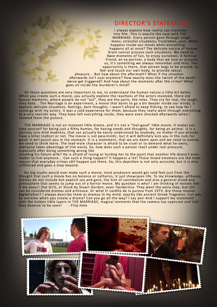#### DIRECTOR'S STATEMENT

I always explore how reality can translate into film. This is exactly the case with THE MARRIAGE. Every person goes through tough times, stressful situations, frustration, pain. What happens inside our minds when everything happens all at once? The delicate nature of human brain cannot process such situations. We need to have moments of fun, to enjoy ourselves. A familiar friend, an ex-partner, a body that we love or arouses us, it's something we always remember and miss. The opportunity is there, that person begs to be around, to feel and touch our own body, to provide sexual

pleasure... But how about the aftermath? What if the situation afterwards isn't cool anymore? How exactly does the twitch of the death nerve get triggered? And how about the moments after the crime? What goes on inside the murderer's mind?

All those questions are very important to me, to understand the human nature a little bit better. When you create such a movie, you actually explore the reactions of the actors involved, there are honest moments, where people do not "act", they are the parts, the roles. They cry for real, the laugh, they hate... The Marriage is an experiment, a movie that dares to go a bit deeper inside our minds, it exploits delicate situations, feelings, dark thoughts. I wasn't afraid to keep filming, to see how far I could go with my actors. It was a cold experience for them, because they really went through everything in a very realistic way. They have felt everything inside, they were even shocked afterwards when I showed them the picture.

THE MARRIAGE is not an innocent little drama, and it's not a "feel-good" little movie. It makes you hate yourself for being just a filthy human, for having needs and thoughts, for being an animal. It is a journey into mild madness, that can actually be easily understood by anybody, no matter if you already have a killer instinct or not. The movie is not pessimistic, but it will definitely kick you in the nuts for good, it will punch you in the stomach. It is a statement, that we are damn apes and we need to evolve, we need to think more. The lead male character is afraid to be cruel or to demand what he owns, everyone takes advantage of him easily. So, how does such a person react under real pressure, especially after doing something wrong like

cheating his future wife? He is afraid of losing or hurting her to the point that another life doesn't even matter to him anymore... Can such a thing happen? It happens a lot! Those mixed emotions are the main reason that everyday crimes still happen out there. So, this depiction is not only accurate, but it is also unfiltered and goes a step beyond.

No big studio would ever make such a movie, most producers would get cold feet just from the thought that such a movie has no balance or catharsis, it just showcases life. To my knowledge, arthouse dramas do not include bot explicit sex and gore, the hint of cannibalism and also a general mood and atmosphere that seems to jump out of a horror movie. My question is why? I am thinking of movies like À ma soeur! (Fat Girl), or Stuck by Stuart Gordon, even Taxidermia. They went the extra step, but still can be considered dramas and arthouse. Or what El castillo de la pureza from 1973. Are those movies exploitation? I always describe them as dramas in my mind, exactly like ancient Greek Tragedies. Can you be extreme when you create a drama? Can you go all the way? I say yes! And I support my statement with the hidden little layers in THE MARRIAGE, magical moments that the camera has captured and that<br>they deserve to be seen! - Filip Halo they deserve to be seen!

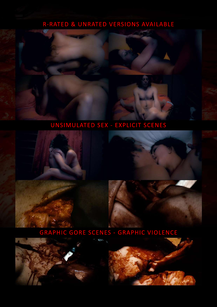# R-RATED & UNRATED VERSIONS AVAILABLE

#### UNSIMULATED SEX - EXPLICIT SCENES



### GRAPHIC GORE SCENES - GRAPHIC VIOLENCE

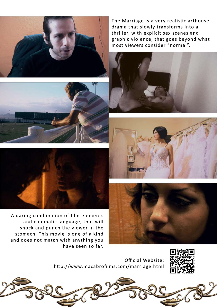The Marriage is a very realistic arthouse drama that slowly transforms into a thriller, with explicit sex scenes and graphic violence, that goes beyond what most viewers consider "normal".



stomach. This movie is one of a kind and does not match with anything you have seen so far.

> Official Website: http://www.macabrofilms.com/marriage.html